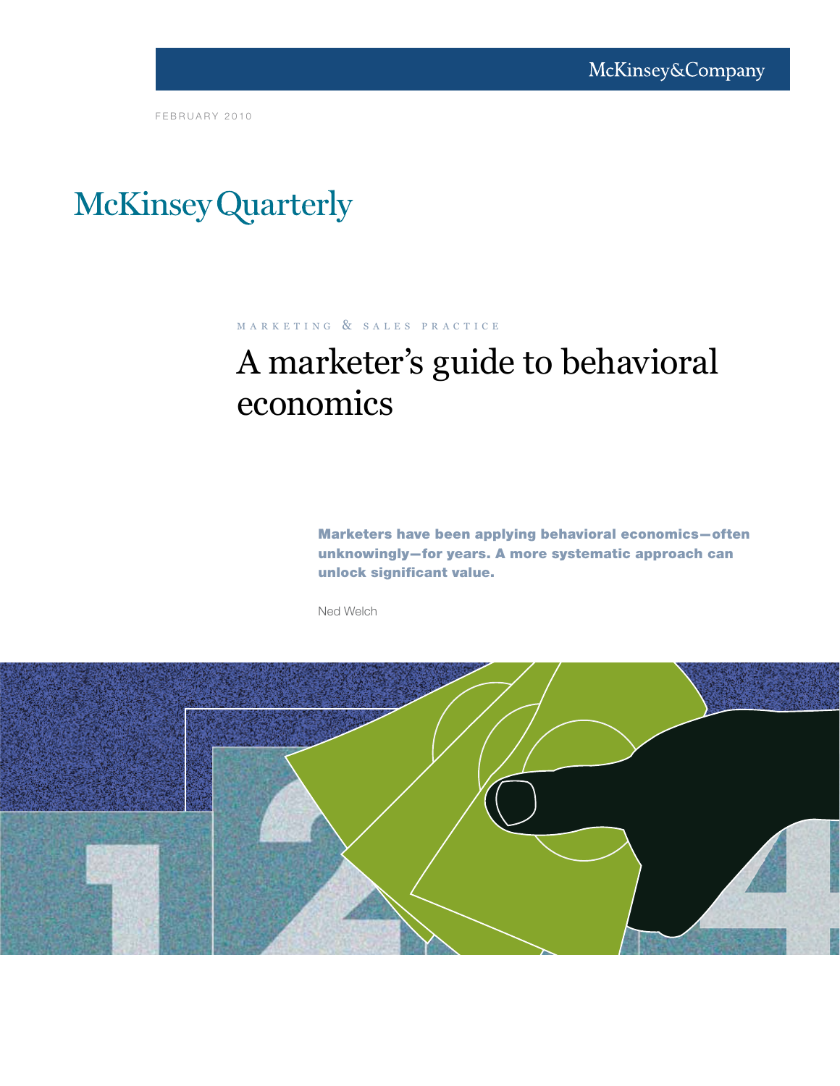FEBRUARY 2010

# McKinsey Quarterly

## M A R K E T I N G & S A L E S P R A C T I C E

## A marketer's guide to behavioral economics

Marketers have been applying behavioral economics—often unknowingly—for years. A more systematic approach can unlock significant value.

Ned Welch

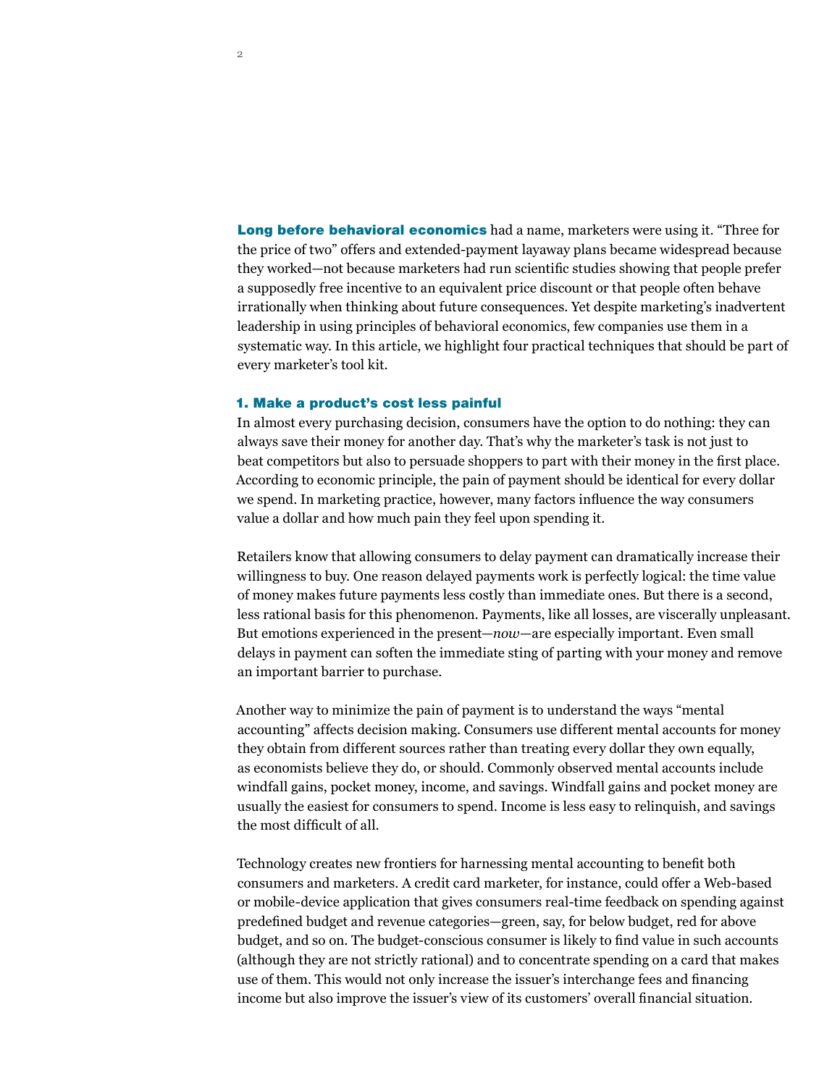**Long before behavioral economics** had a name, marketers were using it. "Three for the price of two" offers and extended-payment layaway plans became widespread because they worked—not because marketers had run scientific studies showing that people prefer a supposedly free incentive to an equivalent price discount or that people often behave irrationally when thinking about future consequences. Yet despite marketing's inadvertent leadership in using principles of behavioral economics, few companies use them in a systematic way. In this article, we highlight four practical techniques that should be part of every marketer's tool kit.

## 1. Make a product's cost less painful

In almost every purchasing decision, consumers have the option to do nothing: they can always save their money for another day. That's why the marketer's task is not just to beat competitors but also to persuade shoppers to part with their money in the first place. According to economic principle, the pain of payment should be identical for every dollar we spend. In marketing practice, however, many factors influence the way consumers value a dollar and how much pain they feel upon spending it.

Retailers know that allowing consumers to delay payment can dramatically increase their willingness to buy. One reason delayed payments work is perfectly logical: the time value of money makes future payments less costly than immediate ones. But there is a second, less rational basis for this phenomenon. Payments, like all losses, are viscerally unpleasant. But emotions experienced in the present—*now*—are especially important. Even small delays in payment can soften the immediate sting of parting with your money and remove an important barrier to purchase.

Another way to minimize the pain of payment is to understand the ways "mental accounting" affects decision making. Consumers use different mental accounts for money they obtain from different sources rather than treating every dollar they own equally, as economists believe they do, or should. Commonly observed mental accounts include windfall gains, pocket money, income, and savings. Windfall gains and pocket money are usually the easiest for consumers to spend. Income is less easy to relinquish, and savings the most difficult of all.

Technology creates new frontiers for harnessing mental accounting to benefit both consumers and marketers. A credit card marketer, for instance, could offer a Web-based or mobile-device application that gives consumers real-time feedback on spending against predefined budget and revenue categories—green, say, for below budget, red for above budget, and so on. The budget-conscious consumer is likely to find value in such accounts (although they are not strictly rational) and to concentrate spending on a card that makes use of them. This would not only increase the issuer's interchange fees and financing income but also improve the issuer's view of its customers' overall financial situation.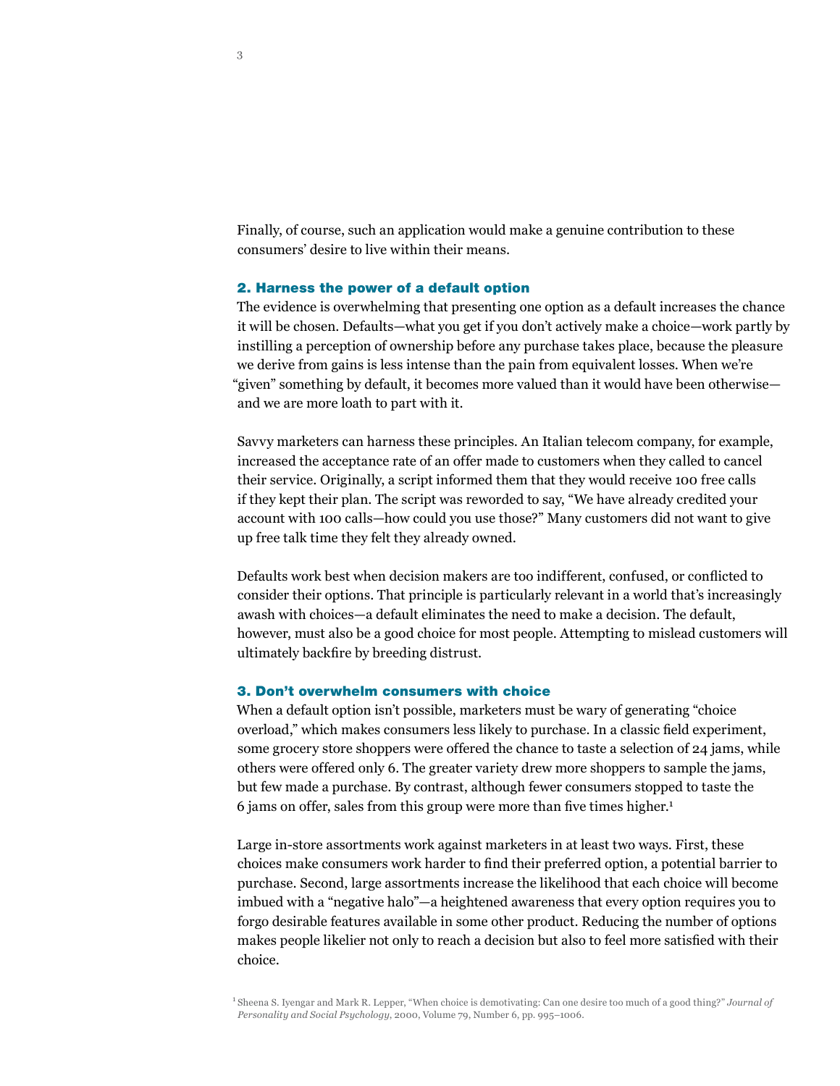Finally, of course, such an application would make a genuine contribution to these consumers' desire to live within their means.

## 2. Harness the power of a default option

The evidence is overwhelming that presenting one option as a default increases the chance it will be chosen. Defaults—what you get if you don't actively make a choice—work partly by instilling a perception of ownership before any purchase takes place, because the pleasure we derive from gains is less intense than the pain from equivalent losses. When we're "given" something by default, it becomes more valued than it would have been otherwise and we are more loath to part with it.

Savvy marketers can harness these principles. An Italian telecom company, for example, increased the acceptance rate of an offer made to customers when they called to cancel their service. Originally, a script informed them that they would receive 100 free calls if they kept their plan. The script was reworded to say, "We have already credited your account with 100 calls—how could you use those?" Many customers did not want to give up free talk time they felt they already owned.

Defaults work best when decision makers are too indifferent, confused, or conflicted to consider their options. That principle is particularly relevant in a world that's increasingly awash with choices—a default eliminates the need to make a decision. The default, however, must also be a good choice for most people. Attempting to mislead customers will ultimately backfire by breeding distrust.

### 3. Don't overwhelm consumers with choice

When a default option isn't possible, marketers must be wary of generating "choice overload," which makes consumers less likely to purchase. In a classic field experiment, some grocery store shoppers were offered the chance to taste a selection of 24 jams, while others were offered only 6. The greater variety drew more shoppers to sample the jams, but few made a purchase. By contrast, although fewer consumers stopped to taste the 6 jams on offer, sales from this group were more than five times higher.<sup>1</sup>

Large in-store assortments work against marketers in at least two ways. First, these choices make consumers work harder to find their preferred option, a potential barrier to purchase. Second, large assortments increase the likelihood that each choice will become imbued with a "negative halo"—a heightened awareness that every option requires you to forgo desirable features available in some other product. Reducing the number of options makes people likelier not only to reach a decision but also to feel more satisfied with their choice.

1 Sheena S. Iyengar and Mark R. Lepper, "When choice is demotivating: Can one desire too much of a good thing?" *Journal of Personality and Social Psychology*, 2000, Volume 79, Number 6, pp. 995–1006.